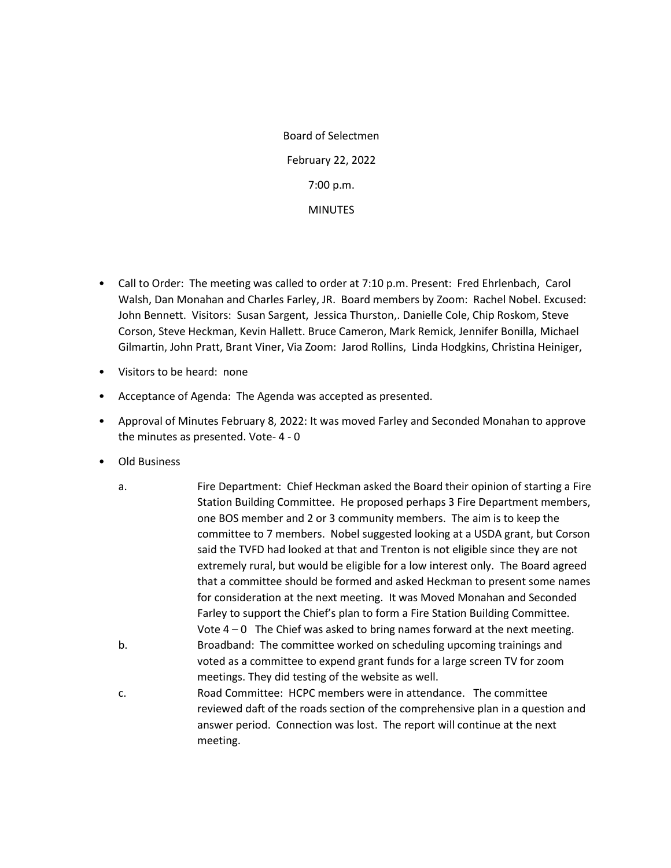Board of Selectmen February 22, 2022 7:00 p.m. **MINUTES** 

- Call to Order: The meeting was called to order at 7:10 p.m. Present: Fred Ehrlenbach, Carol Walsh, Dan Monahan and Charles Farley, JR. Board members by Zoom: Rachel Nobel. Excused: John Bennett. Visitors: Susan Sargent, Jessica Thurston,. Danielle Cole, Chip Roskom, Steve Corson, Steve Heckman, Kevin Hallett. Bruce Cameron, Mark Remick, Jennifer Bonilla, Michael Gilmartin, John Pratt, Brant Viner, Via Zoom: Jarod Rollins, Linda Hodgkins, Christina Heiniger,
- Visitors to be heard: none
- Acceptance of Agenda: The Agenda was accepted as presented.
- Approval of Minutes February 8, 2022: It was moved Farley and Seconded Monahan to approve the minutes as presented. Vote- 4 - 0
- Old Business
	- a. Fire Department: Chief Heckman asked the Board their opinion of starting a Fire Station Building Committee. He proposed perhaps 3 Fire Department members, one BOS member and 2 or 3 community members. The aim is to keep the committee to 7 members. Nobel suggested looking at a USDA grant, but Corson said the TVFD had looked at that and Trenton is not eligible since they are not extremely rural, but would be eligible for a low interest only. The Board agreed that a committee should be formed and asked Heckman to present some names for consideration at the next meeting. It was Moved Monahan and Seconded Farley to support the Chief's plan to form a Fire Station Building Committee. Vote  $4 - 0$  The Chief was asked to bring names forward at the next meeting. b. Broadband: The committee worked on scheduling upcoming trainings and voted as a committee to expend grant funds for a large screen TV for zoom meetings. They did testing of the website as well.
	- c. Road Committee: HCPC members were in attendance. The committee reviewed daft of the roads section of the comprehensive plan in a question and answer period. Connection was lost. The report will continue at the next meeting.